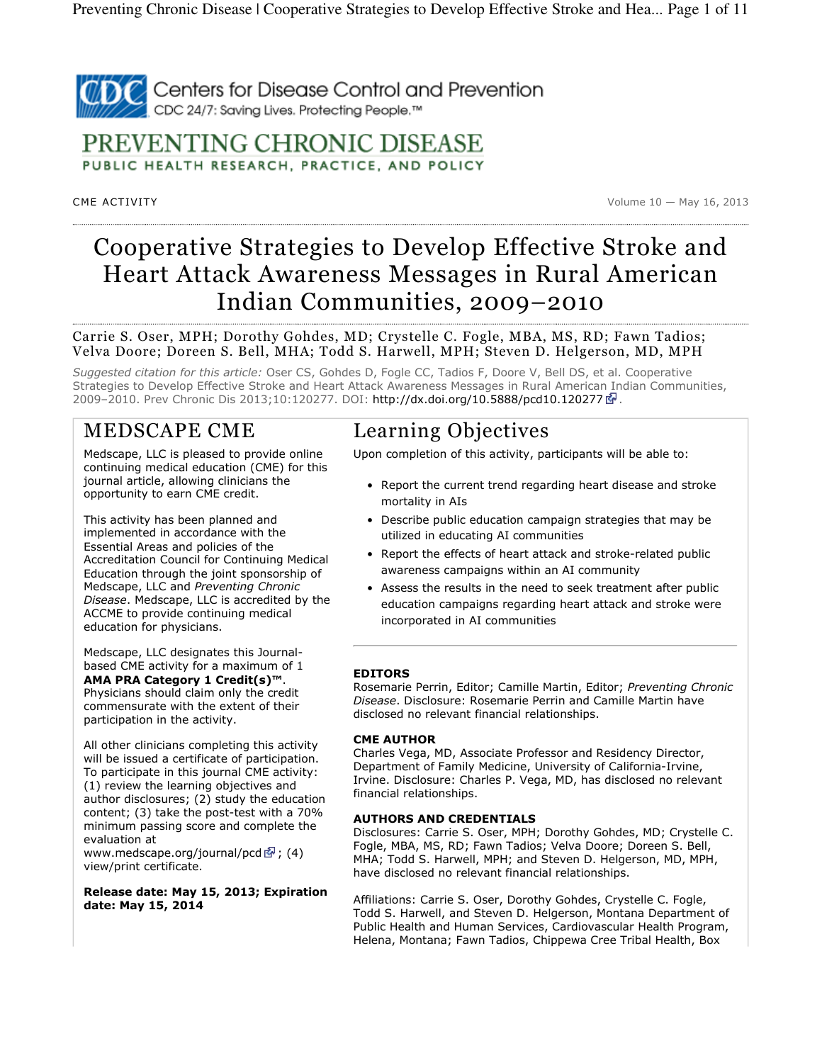

## PREVENTING CHRONIC DISEASE PUBLIC HEALTH RESEARCH, PRACTICE, AND POLICY

CME ACTIVITY **CONSUMITY CONSUMING THE ACTIVITY CONSUMING THE ACTIVITY CONSUMING THE ACTIVITY CONSUMING THE ACTIVITY** 

# Cooperative Strategies to Develop Effective Stroke and Heart Attack Awareness Messages in Rural American Indian Communities, 2009–2010

#### Carrie S. Oser, MPH; Dorothy Gohdes, MD; Crystelle C. Fogle, MBA, MS, RD; Fawn Tadios; Velva Doore; Doreen S. Bell, MHA; Todd S. Harwell, MPH; Steven D. Helgerson, MD, MPH

Suggested citation for this article: Oser CS, Gohdes D, Fogle CC, Tadios F, Doore V, Bell DS, et al. Cooperative Strategies to Develop Effective Stroke and Heart Attack Awareness Messages in Rural American Indian Communities, 2009-2010. Prev Chronic Dis 2013;10:120277. DOI: http://dx.doi.org/10.5888/pcd10.120277 @.

## MEDSCAPE CME

Medscape, LLC is pleased to provide online continuing medical education (CME) for this journal article, allowing clinicians the opportunity to earn CME credit.

This activity has been planned and implemented in accordance with the Essential Areas and policies of the Accreditation Council for Continuing Medical Education through the joint sponsorship of Medscape, LLC and Preventing Chronic Disease. Medscape, LLC is accredited by the ACCME to provide continuing medical education for physicians.

Medscape, LLC designates this Journalbased CME activity for a maximum of 1 AMA PRA Category 1 Credit(s)™. Physicians should claim only the credit commensurate with the extent of their participation in the activity.

All other clinicians completing this activity will be issued a certificate of participation. To participate in this journal CME activity: (1) review the learning objectives and author disclosures; (2) study the education content; (3) take the post-test with a 70% minimum passing score and complete the evaluation at

www.medscape.org/journal/pcd  $\bar{S}$ ; (4) view/print certificate.

Release date: May 15, 2013; Expiration date: May 15, 2014

# Learning Objectives

Upon completion of this activity, participants will be able to:

- Report the current trend regarding heart disease and stroke mortality in AIs
- Describe public education campaign strategies that may be utilized in educating AI communities
- Report the effects of heart attack and stroke-related public awareness campaigns within an AI community
- Assess the results in the need to seek treatment after public education campaigns regarding heart attack and stroke were incorporated in AI communities

#### EDITORS

Rosemarie Perrin, Editor; Camille Martin, Editor; Preventing Chronic Disease. Disclosure: Rosemarie Perrin and Camille Martin have disclosed no relevant financial relationships.

#### CME AUTHOR

Charles Vega, MD, Associate Professor and Residency Director, Department of Family Medicine, University of California-Irvine, Irvine. Disclosure: Charles P. Vega, MD, has disclosed no relevant financial relationships.

#### AUTHORS AND CREDENTIALS

Disclosures: Carrie S. Oser, MPH; Dorothy Gohdes, MD; Crystelle C. Fogle, MBA, MS, RD; Fawn Tadios; Velva Doore; Doreen S. Bell, MHA; Todd S. Harwell, MPH; and Steven D. Helgerson, MD, MPH, have disclosed no relevant financial relationships.

Affiliations: Carrie S. Oser, Dorothy Gohdes, Crystelle C. Fogle, Todd S. Harwell, and Steven D. Helgerson, Montana Department of Public Health and Human Services, Cardiovascular Health Program, Helena, Montana; Fawn Tadios, Chippewa Cree Tribal Health, Box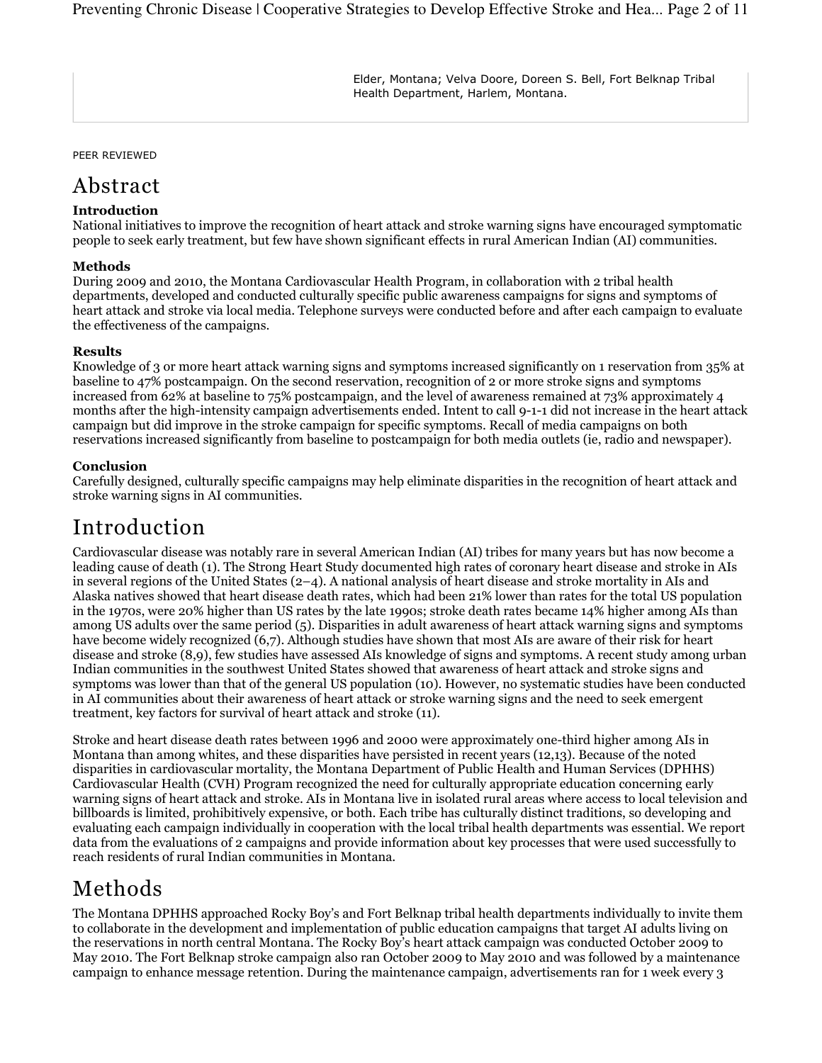Elder, Montana; Velva Doore, Doreen S. Bell, Fort Belknap Tribal Health Department, Harlem, Montana.

PEER REVIEWED

## Abstract

### Introduction

National initiatives to improve the recognition of heart attack and stroke warning signs have encouraged symptomatic people to seek early treatment, but few have shown significant effects in rural American Indian (AI) communities.

#### Methods

During 2009 and 2010, the Montana Cardiovascular Health Program, in collaboration with 2 tribal health departments, developed and conducted culturally specific public awareness campaigns for signs and symptoms of heart attack and stroke via local media. Telephone surveys were conducted before and after each campaign to evaluate the effectiveness of the campaigns.

#### Results

Knowledge of 3 or more heart attack warning signs and symptoms increased significantly on 1 reservation from 35% at baseline to 47% postcampaign. On the second reservation, recognition of 2 or more stroke signs and symptoms increased from 62% at baseline to 75% postcampaign, and the level of awareness remained at 73% approximately 4 months after the high-intensity campaign advertisements ended. Intent to call 9-1-1 did not increase in the heart attack campaign but did improve in the stroke campaign for specific symptoms. Recall of media campaigns on both reservations increased significantly from baseline to postcampaign for both media outlets (ie, radio and newspaper).

#### Conclusion

Carefully designed, culturally specific campaigns may help eliminate disparities in the recognition of heart attack and stroke warning signs in AI communities.

## Introduction

Cardiovascular disease was notably rare in several American Indian (AI) tribes for many years but has now become a leading cause of death (1). The Strong Heart Study documented high rates of coronary heart disease and stroke in AIs in several regions of the United States (2–4). A national analysis of heart disease and stroke mortality in AIs and Alaska natives showed that heart disease death rates, which had been 21% lower than rates for the total US population in the 1970s, were 20% higher than US rates by the late 1990s; stroke death rates became 14% higher among AIs than among US adults over the same period (5). Disparities in adult awareness of heart attack warning signs and symptoms have become widely recognized  $(6,7)$ . Although studies have shown that most AIs are aware of their risk for heart disease and stroke (8,9), few studies have assessed AIs knowledge of signs and symptoms. A recent study among urban Indian communities in the southwest United States showed that awareness of heart attack and stroke signs and symptoms was lower than that of the general US population (10). However, no systematic studies have been conducted in AI communities about their awareness of heart attack or stroke warning signs and the need to seek emergent treatment, key factors for survival of heart attack and stroke (11).

Stroke and heart disease death rates between 1996 and 2000 were approximately one-third higher among AIs in Montana than among whites, and these disparities have persisted in recent years (12,13). Because of the noted disparities in cardiovascular mortality, the Montana Department of Public Health and Human Services (DPHHS) Cardiovascular Health (CVH) Program recognized the need for culturally appropriate education concerning early warning signs of heart attack and stroke. AIs in Montana live in isolated rural areas where access to local television and billboards is limited, prohibitively expensive, or both. Each tribe has culturally distinct traditions, so developing and evaluating each campaign individually in cooperation with the local tribal health departments was essential. We report data from the evaluations of 2 campaigns and provide information about key processes that were used successfully to reach residents of rural Indian communities in Montana.

## Methods

The Montana DPHHS approached Rocky Boy's and Fort Belknap tribal health departments individually to invite them to collaborate in the development and implementation of public education campaigns that target AI adults living on the reservations in north central Montana. The Rocky Boy's heart attack campaign was conducted October 2009 to May 2010. The Fort Belknap stroke campaign also ran October 2009 to May 2010 and was followed by a maintenance campaign to enhance message retention. During the maintenance campaign, advertisements ran for 1 week every 3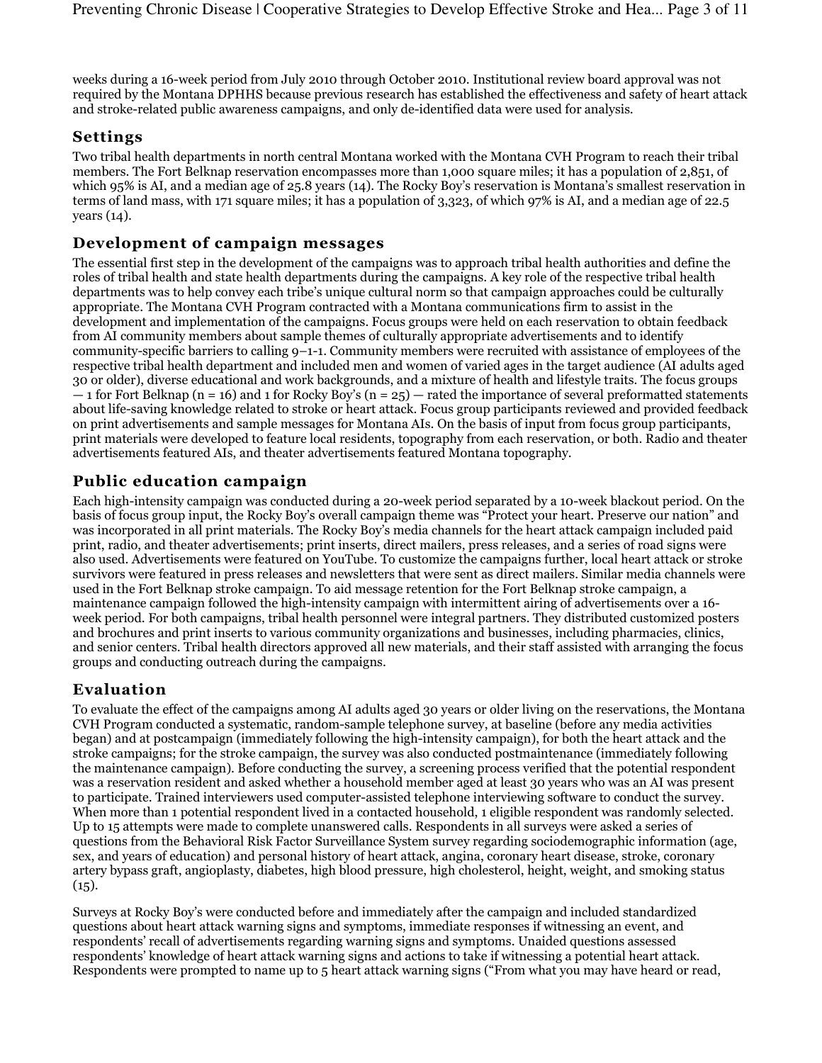weeks during a 16-week period from July 2010 through October 2010. Institutional review board approval was not required by the Montana DPHHS because previous research has established the effectiveness and safety of heart attack and stroke-related public awareness campaigns, and only de-identified data were used for analysis.

## Settings

Two tribal health departments in north central Montana worked with the Montana CVH Program to reach their tribal members. The Fort Belknap reservation encompasses more than 1,000 square miles; it has a population of 2,851, of which 95% is AI, and a median age of 25.8 years (14). The Rocky Boy's reservation is Montana's smallest reservation in terms of land mass, with 171 square miles; it has a population of 3,323, of which 97% is AI, and a median age of 22.5 years (14).

## Development of campaign messages

The essential first step in the development of the campaigns was to approach tribal health authorities and define the roles of tribal health and state health departments during the campaigns. A key role of the respective tribal health departments was to help convey each tribe's unique cultural norm so that campaign approaches could be culturally appropriate. The Montana CVH Program contracted with a Montana communications firm to assist in the development and implementation of the campaigns. Focus groups were held on each reservation to obtain feedback from AI community members about sample themes of culturally appropriate advertisements and to identify community-specific barriers to calling 9–1-1. Community members were recruited with assistance of employees of the respective tribal health department and included men and women of varied ages in the target audience (AI adults aged 30 or older), diverse educational and work backgrounds, and a mixture of health and lifestyle traits. The focus groups  $-$  1 for Fort Belknap (n = 16) and 1 for Rocky Boy's (n = 25) — rated the importance of several preformatted statements about life-saving knowledge related to stroke or heart attack. Focus group participants reviewed and provided feedback on print advertisements and sample messages for Montana AIs. On the basis of input from focus group participants, print materials were developed to feature local residents, topography from each reservation, or both. Radio and theater advertisements featured AIs, and theater advertisements featured Montana topography.

## Public education campaign

Each high-intensity campaign was conducted during a 20-week period separated by a 10-week blackout period. On the basis of focus group input, the Rocky Boy's overall campaign theme was "Protect your heart. Preserve our nation" and was incorporated in all print materials. The Rocky Boy's media channels for the heart attack campaign included paid print, radio, and theater advertisements; print inserts, direct mailers, press releases, and a series of road signs were also used. Advertisements were featured on YouTube. To customize the campaigns further, local heart attack or stroke survivors were featured in press releases and newsletters that were sent as direct mailers. Similar media channels were used in the Fort Belknap stroke campaign. To aid message retention for the Fort Belknap stroke campaign, a maintenance campaign followed the high-intensity campaign with intermittent airing of advertisements over a 16 week period. For both campaigns, tribal health personnel were integral partners. They distributed customized posters and brochures and print inserts to various community organizations and businesses, including pharmacies, clinics, and senior centers. Tribal health directors approved all new materials, and their staff assisted with arranging the focus groups and conducting outreach during the campaigns.

## Evaluation

To evaluate the effect of the campaigns among AI adults aged 30 years or older living on the reservations, the Montana CVH Program conducted a systematic, random-sample telephone survey, at baseline (before any media activities began) and at postcampaign (immediately following the high-intensity campaign), for both the heart attack and the stroke campaigns; for the stroke campaign, the survey was also conducted postmaintenance (immediately following the maintenance campaign). Before conducting the survey, a screening process verified that the potential respondent was a reservation resident and asked whether a household member aged at least 30 years who was an AI was present to participate. Trained interviewers used computer-assisted telephone interviewing software to conduct the survey. When more than 1 potential respondent lived in a contacted household, 1 eligible respondent was randomly selected. Up to 15 attempts were made to complete unanswered calls. Respondents in all surveys were asked a series of questions from the Behavioral Risk Factor Surveillance System survey regarding sociodemographic information (age, sex, and years of education) and personal history of heart attack, angina, coronary heart disease, stroke, coronary artery bypass graft, angioplasty, diabetes, high blood pressure, high cholesterol, height, weight, and smoking status  $(15)$ .

Surveys at Rocky Boy's were conducted before and immediately after the campaign and included standardized questions about heart attack warning signs and symptoms, immediate responses if witnessing an event, and respondents' recall of advertisements regarding warning signs and symptoms. Unaided questions assessed respondents' knowledge of heart attack warning signs and actions to take if witnessing a potential heart attack. Respondents were prompted to name up to 5 heart attack warning signs ("From what you may have heard or read,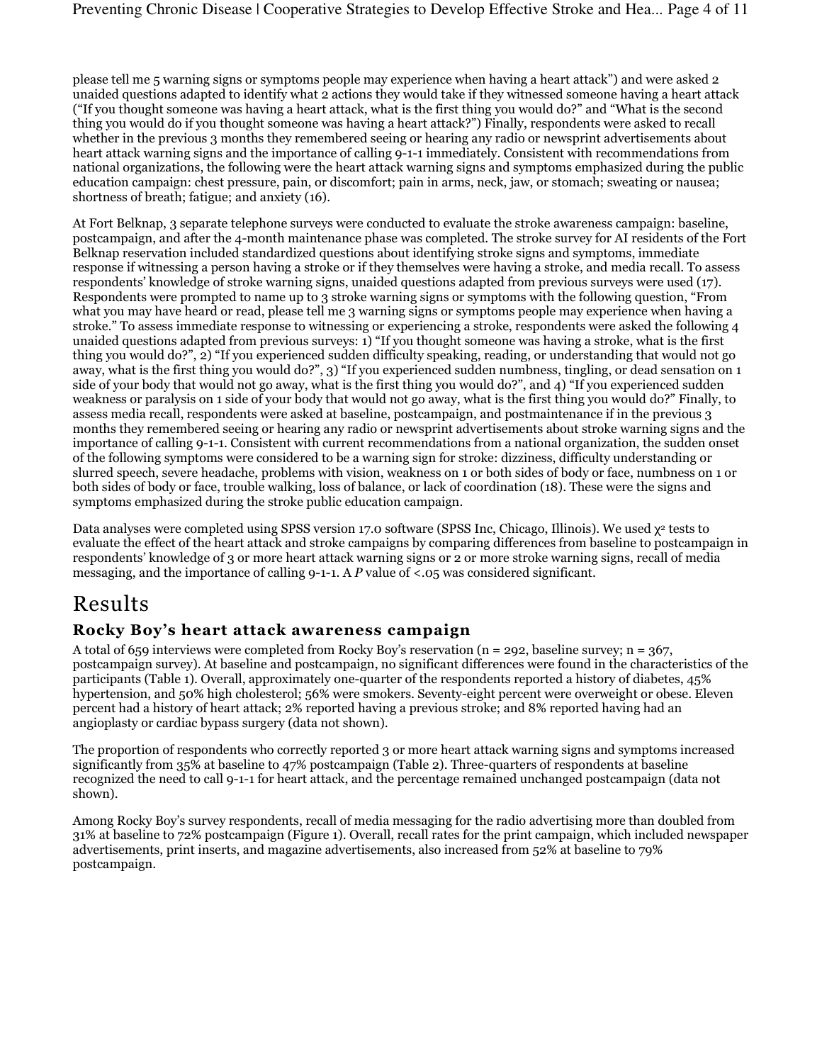please tell me 5 warning signs or symptoms people may experience when having a heart attack") and were asked 2 unaided questions adapted to identify what 2 actions they would take if they witnessed someone having a heart attack ("If you thought someone was having a heart attack, what is the first thing you would do?" and "What is the second thing you would do if you thought someone was having a heart attack?") Finally, respondents were asked to recall whether in the previous 3 months they remembered seeing or hearing any radio or newsprint advertisements about heart attack warning signs and the importance of calling 9-1-1 immediately. Consistent with recommendations from national organizations, the following were the heart attack warning signs and symptoms emphasized during the public education campaign: chest pressure, pain, or discomfort; pain in arms, neck, jaw, or stomach; sweating or nausea; shortness of breath; fatigue; and anxiety (16).

At Fort Belknap, 3 separate telephone surveys were conducted to evaluate the stroke awareness campaign: baseline, postcampaign, and after the 4-month maintenance phase was completed. The stroke survey for AI residents of the Fort Belknap reservation included standardized questions about identifying stroke signs and symptoms, immediate response if witnessing a person having a stroke or if they themselves were having a stroke, and media recall. To assess respondents' knowledge of stroke warning signs, unaided questions adapted from previous surveys were used (17). Respondents were prompted to name up to 3 stroke warning signs or symptoms with the following question, "From what you may have heard or read, please tell me 3 warning signs or symptoms people may experience when having a stroke." To assess immediate response to witnessing or experiencing a stroke, respondents were asked the following 4 unaided questions adapted from previous surveys: 1) "If you thought someone was having a stroke, what is the first thing you would do?", 2) "If you experienced sudden difficulty speaking, reading, or understanding that would not go away, what is the first thing you would do?", 3) "If you experienced sudden numbness, tingling, or dead sensation on 1 side of your body that would not go away, what is the first thing you would do?", and 4) "If you experienced sudden weakness or paralysis on 1 side of your body that would not go away, what is the first thing you would do?" Finally, to assess media recall, respondents were asked at baseline, postcampaign, and postmaintenance if in the previous 3 months they remembered seeing or hearing any radio or newsprint advertisements about stroke warning signs and the importance of calling 9-1-1. Consistent with current recommendations from a national organization, the sudden onset of the following symptoms were considered to be a warning sign for stroke: dizziness, difficulty understanding or slurred speech, severe headache, problems with vision, weakness on 1 or both sides of body or face, numbness on 1 or both sides of body or face, trouble walking, loss of balance, or lack of coordination (18). These were the signs and symptoms emphasized during the stroke public education campaign.

Data analyses were completed using SPSS version 17.0 software (SPSS Inc, Chicago, Illinois). We used  $\chi^2$  tests to evaluate the effect of the heart attack and stroke campaigns by comparing differences from baseline to postcampaign in respondents' knowledge of 3 or more heart attack warning signs or 2 or more stroke warning signs, recall of media messaging, and the importance of calling 9-1-1. A P value of  $\leq$  05 was considered significant.

# Results

## Rocky Boy's heart attack awareness campaign

A total of 659 interviews were completed from Rocky Boy's reservation (n = 292, baseline survey; n = 367, postcampaign survey). At baseline and postcampaign, no significant differences were found in the characteristics of the participants (Table 1). Overall, approximately one-quarter of the respondents reported a history of diabetes, 45% hypertension, and 50% high cholesterol; 56% were smokers. Seventy-eight percent were overweight or obese. Eleven percent had a history of heart attack; 2% reported having a previous stroke; and 8% reported having had an angioplasty or cardiac bypass surgery (data not shown).

The proportion of respondents who correctly reported 3 or more heart attack warning signs and symptoms increased significantly from 35% at baseline to 47% postcampaign (Table 2). Three-quarters of respondents at baseline recognized the need to call 9-1-1 for heart attack, and the percentage remained unchanged postcampaign (data not shown).

Among Rocky Boy's survey respondents, recall of media messaging for the radio advertising more than doubled from 31% at baseline to 72% postcampaign (Figure 1). Overall, recall rates for the print campaign, which included newspaper advertisements, print inserts, and magazine advertisements, also increased from 52% at baseline to 79% postcampaign.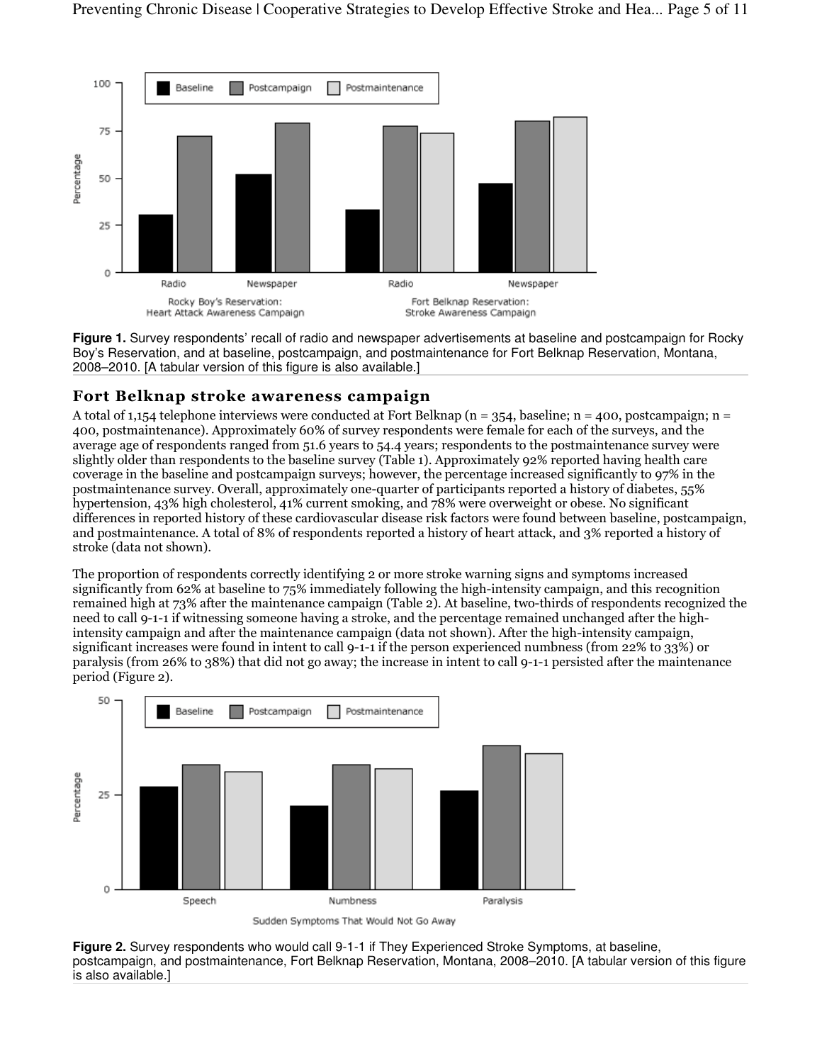

**Figure 1.** Survey respondents' recall of radio and newspaper advertisements at baseline and postcampaign for Rocky Boy's Reservation, and at baseline, postcampaign, and postmaintenance for Fort Belknap Reservation, Montana, 2008–2010. [A tabular version of this figure is also available.]

### Fort Belknap stroke awareness campaign

A total of 1,154 telephone interviews were conducted at Fort Belknap (n = 354, baseline; n = 400, postcampaign; n = 400, postmaintenance). Approximately 60% of survey respondents were female for each of the surveys, and the average age of respondents ranged from 51.6 years to 54.4 years; respondents to the postmaintenance survey were slightly older than respondents to the baseline survey (Table 1). Approximately 92% reported having health care coverage in the baseline and postcampaign surveys; however, the percentage increased significantly to 97% in the postmaintenance survey. Overall, approximately one-quarter of participants reported a history of diabetes, 55% hypertension, 43% high cholesterol, 41% current smoking, and 78% were overweight or obese. No significant differences in reported history of these cardiovascular disease risk factors were found between baseline, postcampaign, and postmaintenance. A total of 8% of respondents reported a history of heart attack, and 3% reported a history of stroke (data not shown).

The proportion of respondents correctly identifying 2 or more stroke warning signs and symptoms increased significantly from 62% at baseline to 75% immediately following the high-intensity campaign, and this recognition remained high at 73% after the maintenance campaign (Table 2). At baseline, two-thirds of respondents recognized the need to call 9-1-1 if witnessing someone having a stroke, and the percentage remained unchanged after the highintensity campaign and after the maintenance campaign (data not shown). After the high-intensity campaign, significant increases were found in intent to call 9-1-1 if the person experienced numbness (from 22% to 33%) or paralysis (from 26% to 38%) that did not go away; the increase in intent to call 9-1-1 persisted after the maintenance period (Figure 2).



Sudden Symptoms That Would Not Go Away

**Figure 2.** Survey respondents who would call 9-1-1 if They Experienced Stroke Symptoms, at baseline, postcampaign, and postmaintenance, Fort Belknap Reservation, Montana, 2008–2010. [A tabular version of this figure is also available.]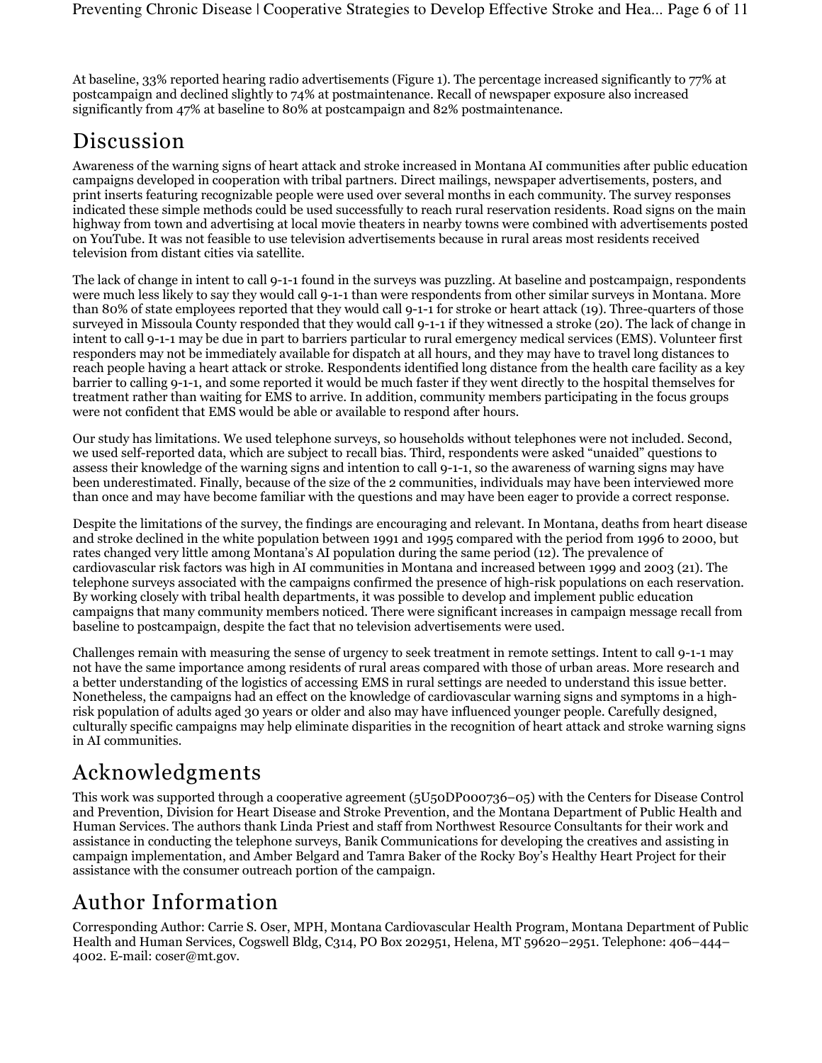At baseline, 33% reported hearing radio advertisements (Figure 1). The percentage increased significantly to 77% at postcampaign and declined slightly to 74% at postmaintenance. Recall of newspaper exposure also increased significantly from 47% at baseline to 80% at postcampaign and 82% postmaintenance.

# Discussion

Awareness of the warning signs of heart attack and stroke increased in Montana AI communities after public education campaigns developed in cooperation with tribal partners. Direct mailings, newspaper advertisements, posters, and print inserts featuring recognizable people were used over several months in each community. The survey responses indicated these simple methods could be used successfully to reach rural reservation residents. Road signs on the main highway from town and advertising at local movie theaters in nearby towns were combined with advertisements posted on YouTube. It was not feasible to use television advertisements because in rural areas most residents received television from distant cities via satellite.

The lack of change in intent to call 9-1-1 found in the surveys was puzzling. At baseline and postcampaign, respondents were much less likely to say they would call 9-1-1 than were respondents from other similar surveys in Montana. More than 80% of state employees reported that they would call 9-1-1 for stroke or heart attack (19). Three-quarters of those surveyed in Missoula County responded that they would call 9-1-1 if they witnessed a stroke (20). The lack of change in intent to call 9-1-1 may be due in part to barriers particular to rural emergency medical services (EMS). Volunteer first responders may not be immediately available for dispatch at all hours, and they may have to travel long distances to reach people having a heart attack or stroke. Respondents identified long distance from the health care facility as a key barrier to calling 9-1-1, and some reported it would be much faster if they went directly to the hospital themselves for treatment rather than waiting for EMS to arrive. In addition, community members participating in the focus groups were not confident that EMS would be able or available to respond after hours.

Our study has limitations. We used telephone surveys, so households without telephones were not included. Second, we used self-reported data, which are subject to recall bias. Third, respondents were asked "unaided" questions to assess their knowledge of the warning signs and intention to call 9-1-1, so the awareness of warning signs may have been underestimated. Finally, because of the size of the 2 communities, individuals may have been interviewed more than once and may have become familiar with the questions and may have been eager to provide a correct response.

Despite the limitations of the survey, the findings are encouraging and relevant. In Montana, deaths from heart disease and stroke declined in the white population between 1991 and 1995 compared with the period from 1996 to 2000, but rates changed very little among Montana's AI population during the same period (12). The prevalence of cardiovascular risk factors was high in AI communities in Montana and increased between 1999 and 2003 (21). The telephone surveys associated with the campaigns confirmed the presence of high-risk populations on each reservation. By working closely with tribal health departments, it was possible to develop and implement public education campaigns that many community members noticed. There were significant increases in campaign message recall from baseline to postcampaign, despite the fact that no television advertisements were used.

Challenges remain with measuring the sense of urgency to seek treatment in remote settings. Intent to call 9-1-1 may not have the same importance among residents of rural areas compared with those of urban areas. More research and a better understanding of the logistics of accessing EMS in rural settings are needed to understand this issue better. Nonetheless, the campaigns had an effect on the knowledge of cardiovascular warning signs and symptoms in a highrisk population of adults aged 30 years or older and also may have influenced younger people. Carefully designed, culturally specific campaigns may help eliminate disparities in the recognition of heart attack and stroke warning signs in AI communities.

# Acknowledgments

This work was supported through a cooperative agreement (5U50DP000736–05) with the Centers for Disease Control and Prevention, Division for Heart Disease and Stroke Prevention, and the Montana Department of Public Health and Human Services. The authors thank Linda Priest and staff from Northwest Resource Consultants for their work and assistance in conducting the telephone surveys, Banik Communications for developing the creatives and assisting in campaign implementation, and Amber Belgard and Tamra Baker of the Rocky Boy's Healthy Heart Project for their assistance with the consumer outreach portion of the campaign.

# Author Information

Corresponding Author: Carrie S. Oser, MPH, Montana Cardiovascular Health Program, Montana Department of Public Health and Human Services, Cogswell Bldg, C314, PO Box 202951, Helena, MT 59620–2951. Telephone: 406–444– 4002. E-mail: coser@mt.gov.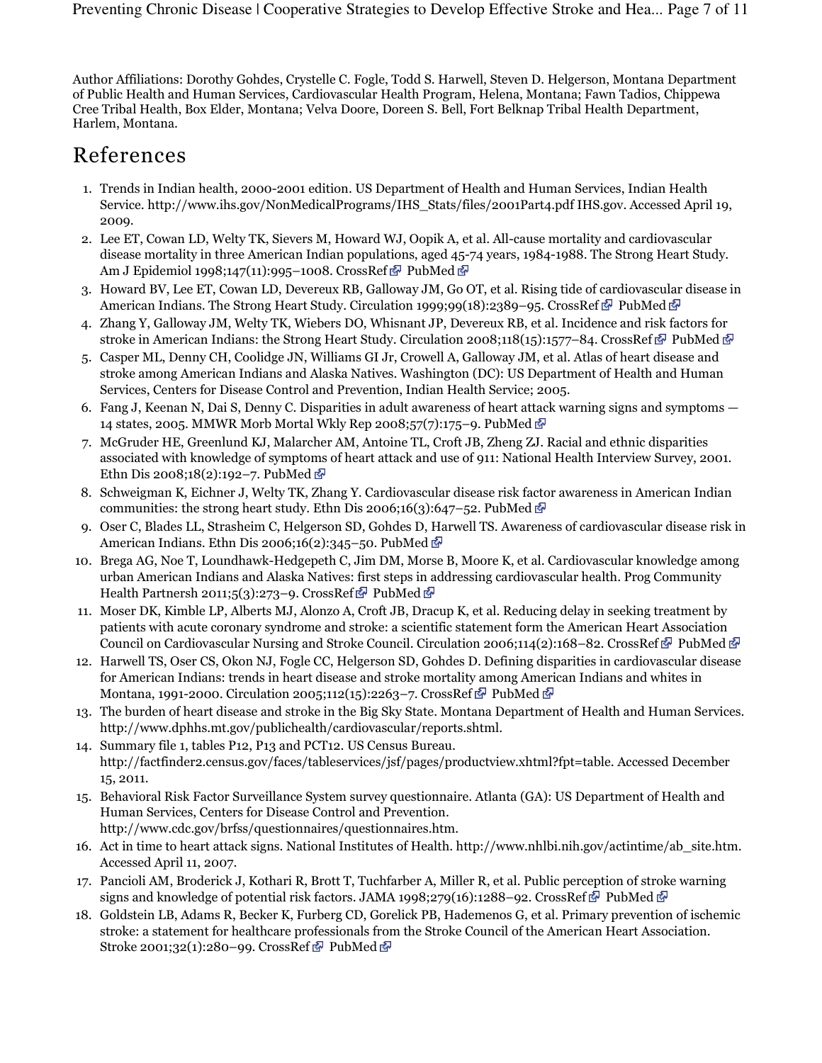Author Affiliations: Dorothy Gohdes, Crystelle C. Fogle, Todd S. Harwell, Steven D. Helgerson, Montana Department of Public Health and Human Services, Cardiovascular Health Program, Helena, Montana; Fawn Tadios, Chippewa Cree Tribal Health, Box Elder, Montana; Velva Doore, Doreen S. Bell, Fort Belknap Tribal Health Department, Harlem, Montana.

# References

- 1. Trends in Indian health, 2000-2001 edition. US Department of Health and Human Services, Indian Health Service. http://www.ihs.gov/NonMedicalPrograms/IHS\_Stats/files/2001Part4.pdf IHS.gov. Accessed April 19, 2009.
- 2. Lee ET, Cowan LD, Welty TK, Sievers M, Howard WJ, Oopik A, et al. All-cause mortality and cardiovascular disease mortality in three American Indian populations, aged 45-74 years, 1984-1988. The Strong Heart Study. Am J Epidemiol 1998;147(11):995-1008. CrossRef & PubMed &
- 3. Howard BV, Lee ET, Cowan LD, Devereux RB, Galloway JM, Go OT, et al. Rising tide of cardiovascular disease in American Indians. The Strong Heart Study. Circulation 1999;99(18):2389–95. CrossRef PubMed @
- 4. Zhang Y, Galloway JM, Welty TK, Wiebers DO, Whisnant JP, Devereux RB, et al. Incidence and risk factors for stroke in American Indians: the Strong Heart Study. Circulation 2008;118(15):1577-84. CrossRef PubMed PubMed
- 5. Casper ML, Denny CH, Coolidge JN, Williams GI Jr, Crowell A, Galloway JM, et al. Atlas of heart disease and stroke among American Indians and Alaska Natives. Washington (DC): US Department of Health and Human Services, Centers for Disease Control and Prevention, Indian Health Service; 2005.
- 6. Fang J, Keenan N, Dai S, Denny C. Disparities in adult awareness of heart attack warning signs and symptoms 14 states, 2005. MMWR Morb Mortal Wkly Rep 2008;57(7):175–9. PubMed
- 7. McGruder HE, Greenlund KJ, Malarcher AM, Antoine TL, Croft JB, Zheng ZJ. Racial and ethnic disparities associated with knowledge of symptoms of heart attack and use of 911: National Health Interview Survey, 2001. Ethn Dis 2008;18(2):192–7. PubMed  $\bar{C}$
- Schweigman K, Eichner J, Welty TK, Zhang Y. Cardiovascular disease risk factor awareness in American Indian 8. communities: the strong heart study. Ethn Dis 2006;16(3):647-52. PubMed &
- 9. Oser C, Blades LL, Strasheim C, Helgerson SD, Gohdes D, Harwell TS. Awareness of cardiovascular disease risk in American Indians. Ethn Dis 2006;16(2):345-50. PubMed &
- 10. Brega AG, Noe T, Loundhawk-Hedgepeth C, Jim DM, Morse B, Moore K, et al. Cardiovascular knowledge among urban American Indians and Alaska Natives: first steps in addressing cardiovascular health. Prog Community Health Partnersh 2011;5(3):273-9. CrossRef & PubMed &
- 11. Moser DK, Kimble LP, Alberts MJ, Alonzo A, Croft JB, Dracup K, et al. Reducing delay in seeking treatment by patients with acute coronary syndrome and stroke: a scientific statement form the American Heart Association Council on Cardiovascular Nursing and Stroke Council. Circulation 2006;114(2):168-82. CrossRef PubMed PubMed
- 12. Harwell TS, Oser CS, Okon NJ, Fogle CC, Helgerson SD, Gohdes D. Defining disparities in cardiovascular disease for American Indians: trends in heart disease and stroke mortality among American Indians and whites in Montana, 1991-2000. Circulation 2005;112(15):2263-7. CrossRef PubMed P
- The burden of heart disease and stroke in the Big Sky State. Montana Department of Health and Human Services. 13. http://www.dphhs.mt.gov/publichealth/cardiovascular/reports.shtml.
- Summary file 1, tables P12, P13 and PCT12. US Census Bureau. 14. http://factfinder2.census.gov/faces/tableservices/jsf/pages/productview.xhtml?fpt=table. Accessed December 15, 2011.
- 15. Behavioral Risk Factor Surveillance System survey questionnaire. Atlanta (GA): US Department of Health and Human Services, Centers for Disease Control and Prevention. http://www.cdc.gov/brfss/questionnaires/questionnaires.htm.
- 16. Act in time to heart attack signs. National Institutes of Health. http://www.nhlbi.nih.gov/actintime/ab\_site.htm. Accessed April 11, 2007.
- 17. Pancioli AM, Broderick J, Kothari R, Brott T, Tuchfarber A, Miller R, et al. Public perception of stroke warning signs and knowledge of potential risk factors. JAMA 1998;279(16):1288–92. CrossRef  $\mathbb{F}$  PubMed  $\mathbb{F}$
- Goldstein LB, Adams R, Becker K, Furberg CD, Gorelick PB, Hademenos G, et al. Primary prevention of ischemic 18. stroke: a statement for healthcare professionals from the Stroke Council of the American Heart Association. Stroke 2001;32(1):280-99. CrossRef PubMed  $\bar{E}$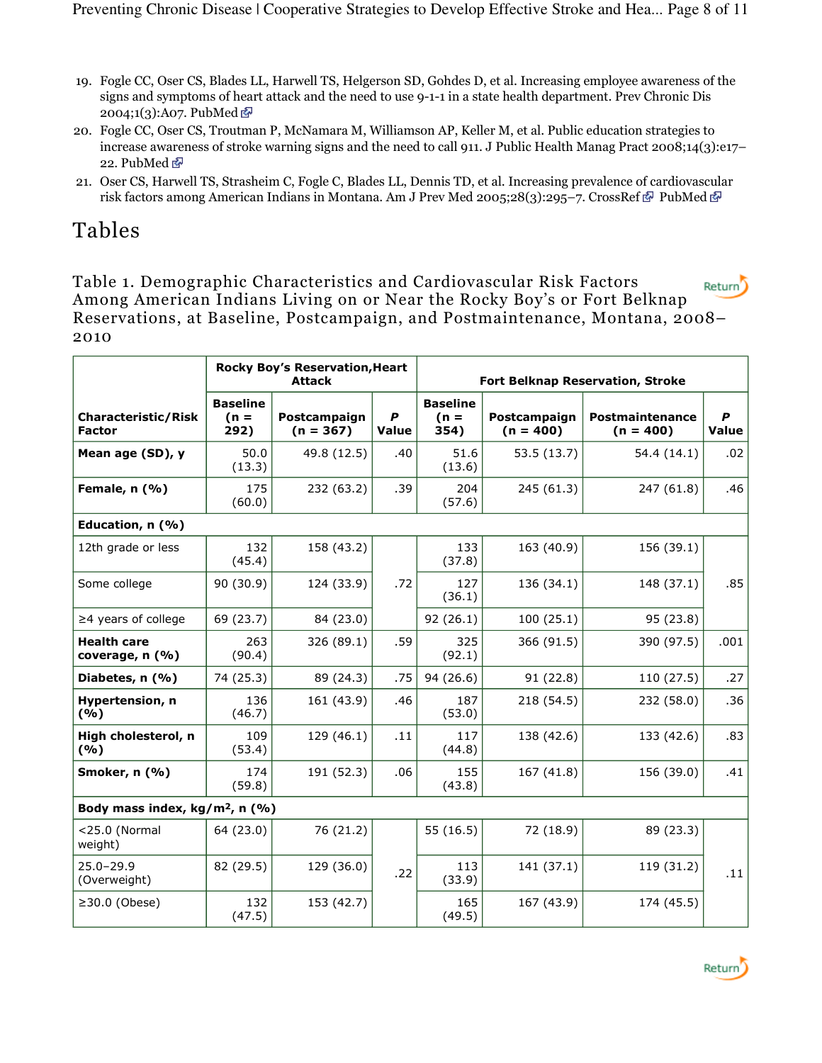- Fogle CC, Oser CS, Blades LL, Harwell TS, Helgerson SD, Gohdes D, et al. Increasing employee awareness of the 19. signs and symptoms of heart attack and the need to use 9-1-1 in a state health department. Prev Chronic Dis 2004;1(3):A07. PubMed  $\bar{d}^2$
- Fogle CC, Oser CS, Troutman P, McNamara M, Williamson AP, Keller M, et al. Public education strategies to 20. increase awareness of stroke warning signs and the need to call 911. J Public Health Manag Pract 2008;14(3):e17– 22. PubMed $\Phi$
- 21. Oser CS, Harwell TS, Strasheim C, Fogle C, Blades LL, Dennis TD, et al. Increasing prevalence of cardiovascular risk factors among American Indians in Montana. Am J Prev Med 2005;28(3):295–7. CrossRef PubMed P

# Tables

Table 1. Demographic Characteristics and Cardiovascular Risk Factors Return<sup>7</sup> Among American Indians Living on or Near the Rocky Boy's or Fort Belknap Reservations, at Baseline, Postcampaign, and Postmaintenance, Montana, 2008– 2010

|                                             | <b>Rocky Boy's Reservation, Heart</b><br><b>Attack</b> |                             |            | Fort Belknap Reservation, Stroke  |                             |                                |            |  |
|---------------------------------------------|--------------------------------------------------------|-----------------------------|------------|-----------------------------------|-----------------------------|--------------------------------|------------|--|
| <b>Characteristic/Risk</b><br><b>Factor</b> | <b>Baseline</b><br>$(n =$<br>292)                      | Postcampaign<br>$(n = 367)$ | P<br>Value | <b>Baseline</b><br>$(n =$<br>354) | Postcampaign<br>$(n = 400)$ | Postmaintenance<br>$(n = 400)$ | P<br>Value |  |
| Mean age (SD), y                            | 50.0<br>(13.3)                                         | 49.8 (12.5)                 | .40        | 51.6<br>(13.6)                    | 53.5 (13.7)                 | 54.4 (14.1)                    | .02        |  |
| Female, n (%)                               | 175<br>(60.0)                                          | 232 (63.2)                  | .39        | 204<br>(57.6)                     | 245 (61.3)                  | 247 (61.8)                     | .46        |  |
| Education, n (%)                            |                                                        |                             |            |                                   |                             |                                |            |  |
| 12th grade or less                          | 132<br>(45.4)                                          | 158 (43.2)                  |            | 133<br>(37.8)                     | 163 (40.9)                  | 156 (39.1)                     |            |  |
| Some college                                | 90 (30.9)                                              | 124 (33.9)                  | .72        | 127<br>(36.1)                     | 136 (34.1)                  | 148 (37.1)                     | .85        |  |
| $\geq$ 4 years of college                   | 69 (23.7)                                              | 84 (23.0)                   |            | 92 (26.1)                         | 100(25.1)                   | 95 (23.8)                      |            |  |
| <b>Health care</b><br>coverage, n (%)       | 263<br>(90.4)                                          | 326 (89.1)                  | .59        | 325<br>(92.1)                     | 366 (91.5)                  | 390 (97.5)                     | .001       |  |
| Diabetes, n (%)                             | 74 (25.3)                                              | 89 (24.3)                   | .75        | 94 (26.6)                         | 91 (22.8)                   | 110 (27.5)                     | .27        |  |
| Hypertension, n<br>(%)                      | 136<br>(46.7)                                          | 161 (43.9)                  | .46        | 187<br>(53.0)                     | 218 (54.5)                  | 232 (58.0)                     | .36        |  |
| High cholesterol, n<br>(%)                  | 109<br>(53.4)                                          | 129 (46.1)                  | .11        | 117<br>(44.8)                     | 138 (42.6)                  | 133 (42.6)                     | .83        |  |
| Smoker, n (%)                               | 174<br>(59.8)                                          | 191 (52.3)                  | .06        | 155<br>(43.8)                     | 167 (41.8)                  | 156 (39.0)                     | .41        |  |
| Body mass index, $kg/m2$ , n (%)            |                                                        |                             |            |                                   |                             |                                |            |  |
| <25.0 (Normal<br>weight)                    | 64 (23.0)                                              | 76 (21.2)                   |            | 55 (16.5)                         | 72 (18.9)                   | 89 (23.3)                      |            |  |
| $25.0 - 29.9$<br>(Overweight)               | 82 (29.5)                                              | 129 (36.0)                  | .22        | 113<br>(33.9)                     | 141 (37.1)                  | 119 (31.2)                     | .11        |  |
| $\geq$ 30.0 (Obese)                         | 132<br>(47.5)                                          | 153 (42.7)                  |            | 165<br>(49.5)                     | 167 (43.9)                  | 174 (45.5)                     |            |  |

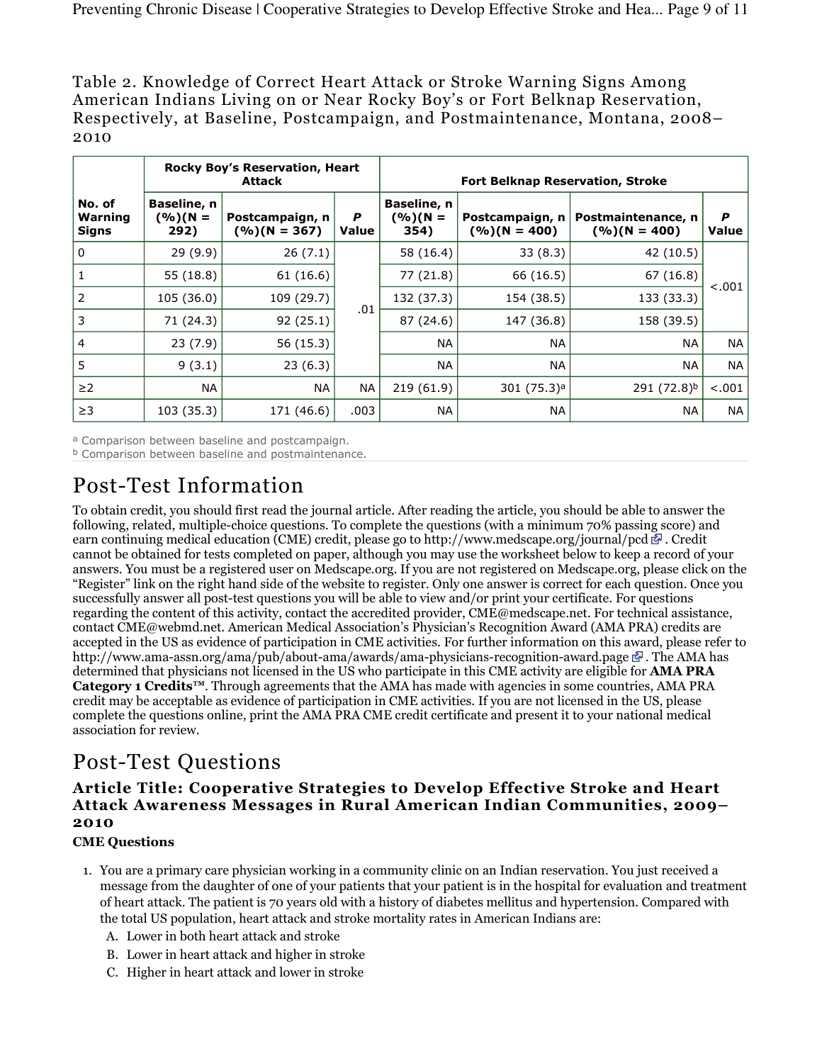Table 2. Knowledge of Correct Heart Attack or Stroke Warning Signs Among American Indians Living on or Near Rocky Boy's or Fort Belknap Reservation, Respectively, at Baseline, Postcampaign, and Postmaintenance, Montana, 2008– 2010

|                                   | <b>Rocky Boy's Reservation, Heart</b><br>Attack |                                   |            | <b>Fort Belknap Reservation, Stroke</b> |                                   |                                      |            |  |
|-----------------------------------|-------------------------------------------------|-----------------------------------|------------|-----------------------------------------|-----------------------------------|--------------------------------------|------------|--|
| No. of<br>Warning<br><b>Signs</b> | Baseline, n<br>$(9/6)(N =$<br>292)              | Postcampaign, n<br>$(%)(N = 367)$ | P<br>Value | Baseline, n<br>$(%)(N =$<br>354)        | Postcampaign, n<br>$(%)(N = 400)$ | Postmaintenance, n<br>$(%)(N = 400)$ | P<br>Value |  |
| $\overline{0}$                    | 29 (9.9)                                        | 26(7.1)                           | .01        | 58 (16.4)                               | 33(8.3)                           | 42 (10.5)                            |            |  |
| 1                                 | 55 (18.8)                                       | 61 (16.6)                         |            | 77 (21.8)                               | 66 (16.5)                         | 67(16.8)                             | < .001     |  |
| $\overline{2}$                    | 105 (36.0)                                      | 109 (29.7)                        |            | 132 (37.3)                              | 154 (38.5)                        | 133 (33.3)                           |            |  |
| 3                                 | 71 (24.3)                                       | 92 (25.1)                         |            | 87 (24.6)                               | 147 (36.8)                        | 158 (39.5)                           |            |  |
| $\overline{4}$                    | 23(7.9)                                         | 56 (15.3)                         |            | <b>NA</b>                               | <b>NA</b>                         | <b>NA</b>                            | <b>NA</b>  |  |
| 5                                 | 9(3.1)                                          | 23(6.3)                           |            | <b>NA</b>                               | <b>NA</b>                         | <b>NA</b>                            | NA.        |  |
| $\geq$ 2                          | <b>NA</b>                                       | <b>NA</b>                         | <b>NA</b>  | 219 (61.9)                              | 301 (75.3) <sup>a</sup>           | 291 (72.8)b                          | < .001     |  |
| $\geq$ 3                          | 103 (35.3)                                      | 171 (46.6)                        | .003       | <b>NA</b>                               | NA.                               | <b>NA</b>                            | <b>NA</b>  |  |

<sup>a</sup> Comparison between baseline and postcampaign.

**b** Comparison between baseline and postmaintenance.

# Post-Test Information

To obtain credit, you should first read the journal article. After reading the article, you should be able to answer the following, related, multiple-choice questions. To complete the questions (with a minimum 70% passing score) and earn continuing medical education (CME) credit, please go to http://www.medscape.org/journal/pcd  $\mathbb{F}$ . Credit cannot be obtained for tests completed on paper, although you may use the worksheet below to keep a record of your answers. You must be a registered user on Medscape.org. If you are not registered on Medscape.org, please click on the "Register" link on the right hand side of the website to register. Only one answer is correct for each question. Once you successfully answer all post-test questions you will be able to view and/or print your certificate. For questions regarding the content of this activity, contact the accredited provider, CME@medscape.net. For technical assistance, contact CME@webmd.net. American Medical Association's Physician's Recognition Award (AMA PRA) credits are accepted in the US as evidence of participation in CME activities. For further information on this award, please refer to http://www.ama-assn.org/ama/pub/about-ama/awards/ama-physicians-recognition-award.page  $\mathbb{F}$ . The AMA has determined that physicians not licensed in the US who participate in this CME activity are eligible for AMA PRA Category 1 Credits™. Through agreements that the AMA has made with agencies in some countries, AMA PRA credit may be acceptable as evidence of participation in CME activities. If you are not licensed in the US, please complete the questions online, print the AMA PRA CME credit certificate and present it to your national medical association for review.

# Post-Test Questions

## Article Title: Cooperative Strategies to Develop Effective Stroke and Heart Attack Awareness Messages in Rural American Indian Communities, 2009– 2010

### CME Questions

- 1. You are a primary care physician working in a community clinic on an Indian reservation. You just received a message from the daughter of one of your patients that your patient is in the hospital for evaluation and treatment of heart attack. The patient is 70 years old with a history of diabetes mellitus and hypertension. Compared with the total US population, heart attack and stroke mortality rates in American Indians are:
	- A. Lower in both heart attack and stroke
	- B. Lower in heart attack and higher in stroke
	- C. Higher in heart attack and lower in stroke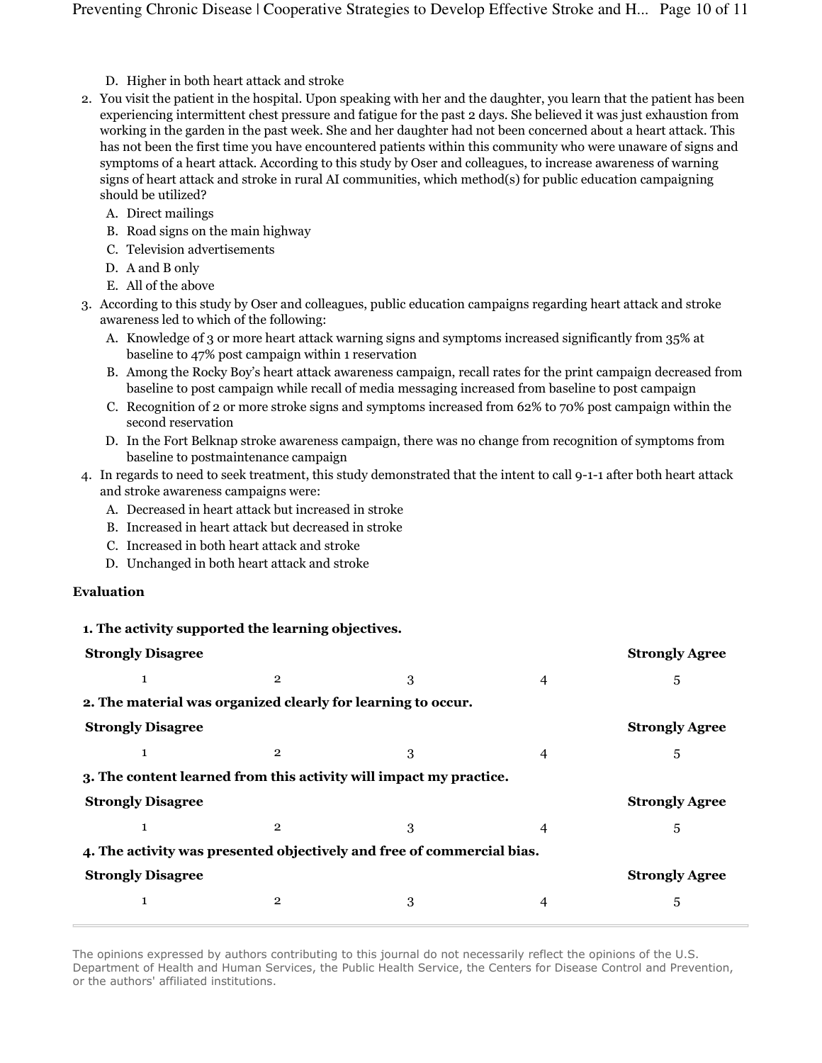- D. Higher in both heart attack and stroke
- 2. You visit the patient in the hospital. Upon speaking with her and the daughter, you learn that the patient has been experiencing intermittent chest pressure and fatigue for the past 2 days. She believed it was just exhaustion from working in the garden in the past week. She and her daughter had not been concerned about a heart attack. This has not been the first time you have encountered patients within this community who were unaware of signs and symptoms of a heart attack. According to this study by Oser and colleagues, to increase awareness of warning signs of heart attack and stroke in rural AI communities, which method(s) for public education campaigning should be utilized?
	- A. Direct mailings
	- B. Road signs on the main highway
	- C. Television advertisements
	- D. A and B only
	- E. All of the above

According to this study by Oser and colleagues, public education campaigns regarding heart attack and stroke 3. awareness led to which of the following:

- A. Knowledge of 3 or more heart attack warning signs and symptoms increased significantly from 35% at baseline to 47% post campaign within 1 reservation
- B. Among the Rocky Boy's heart attack awareness campaign, recall rates for the print campaign decreased from baseline to post campaign while recall of media messaging increased from baseline to post campaign
- C. Recognition of 2 or more stroke signs and symptoms increased from 62% to 70% post campaign within the second reservation
- In the Fort Belknap stroke awareness campaign, there was no change from recognition of symptoms from D. baseline to postmaintenance campaign
- In regards to need to seek treatment, this study demonstrated that the intent to call 9-1-1 after both heart attack 4. and stroke awareness campaigns were:
	- A. Decreased in heart attack but increased in stroke
	- B. Increased in heart attack but decreased in stroke
	- C. Increased in both heart attack and stroke
	- D. Unchanged in both heart attack and stroke

#### Evaluation

#### 1. The activity supported the learning objectives.

| <b>Strongly Disagree</b>                                               |                |   |                | <b>Strongly Agree</b> |  |  |  |
|------------------------------------------------------------------------|----------------|---|----------------|-----------------------|--|--|--|
| 1                                                                      | $\overline{2}$ | 3 | $\overline{4}$ | 5                     |  |  |  |
| 2. The material was organized clearly for learning to occur.           |                |   |                |                       |  |  |  |
| <b>Strongly Disagree</b>                                               |                |   |                | <b>Strongly Agree</b> |  |  |  |
| 1                                                                      | $\overline{2}$ | 3 | 4              | 5                     |  |  |  |
| 3. The content learned from this activity will impact my practice.     |                |   |                |                       |  |  |  |
| <b>Strongly Disagree</b>                                               |                |   |                | <b>Strongly Agree</b> |  |  |  |
| 1                                                                      | $\mathbf{2}$   | 3 | 4              | 5                     |  |  |  |
| 4. The activity was presented objectively and free of commercial bias. |                |   |                |                       |  |  |  |
| <b>Strongly Disagree</b>                                               |                |   |                | <b>Strongly Agree</b> |  |  |  |
| 1                                                                      | $\overline{2}$ | 3 |                | 5                     |  |  |  |

The opinions expressed by authors contributing to this journal do not necessarily reflect the opinions of the U.S. Department of Health and Human Services, the Public Health Service, the Centers for Disease Control and Prevention, or the authors' affiliated institutions.